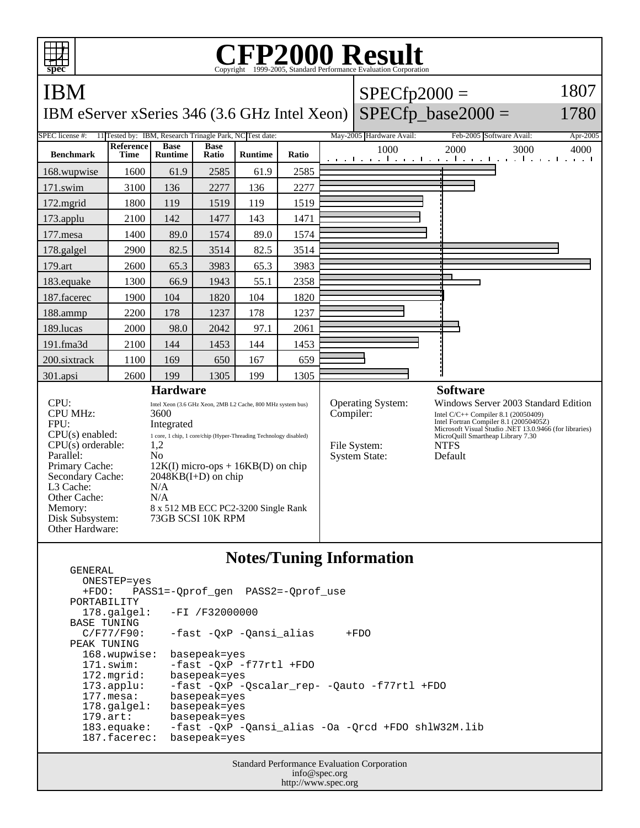

## **Notes/Tuning Information**

 ONESTEP=yes +FDO: PASS1=-Qprof\_gen PASS2=-Qprof\_use PORTABILITY 178.galgel: -FI /F32000000 BASE TUNING<br>C/F77/F90: -fast -QxP -Qansi\_alias +FDO PEAK TUNING<br>168.wupwise: basepeak=yes 171.swim: -fast -QxP -f77rtl +FDO 172.mgrid: basepeak=yes 173.applu: -fast -QxP -Qscalar\_rep- -Qauto -f77rtl +FDO 177.mesa: basepeak=yes<br>178.galgel: basepeak=yes 178.galgel: basepeak=yes<br>179.art: basepeak=yes basepeak=yes 183.equake: -fast -QxP -Qansi\_alias -Oa -Qrcd +FDO shlW32M.lib 187.facerec: basepeak=yes

GENERAL

Standard Performance Evaluation Corporation info@spec.org http://www.spec.org